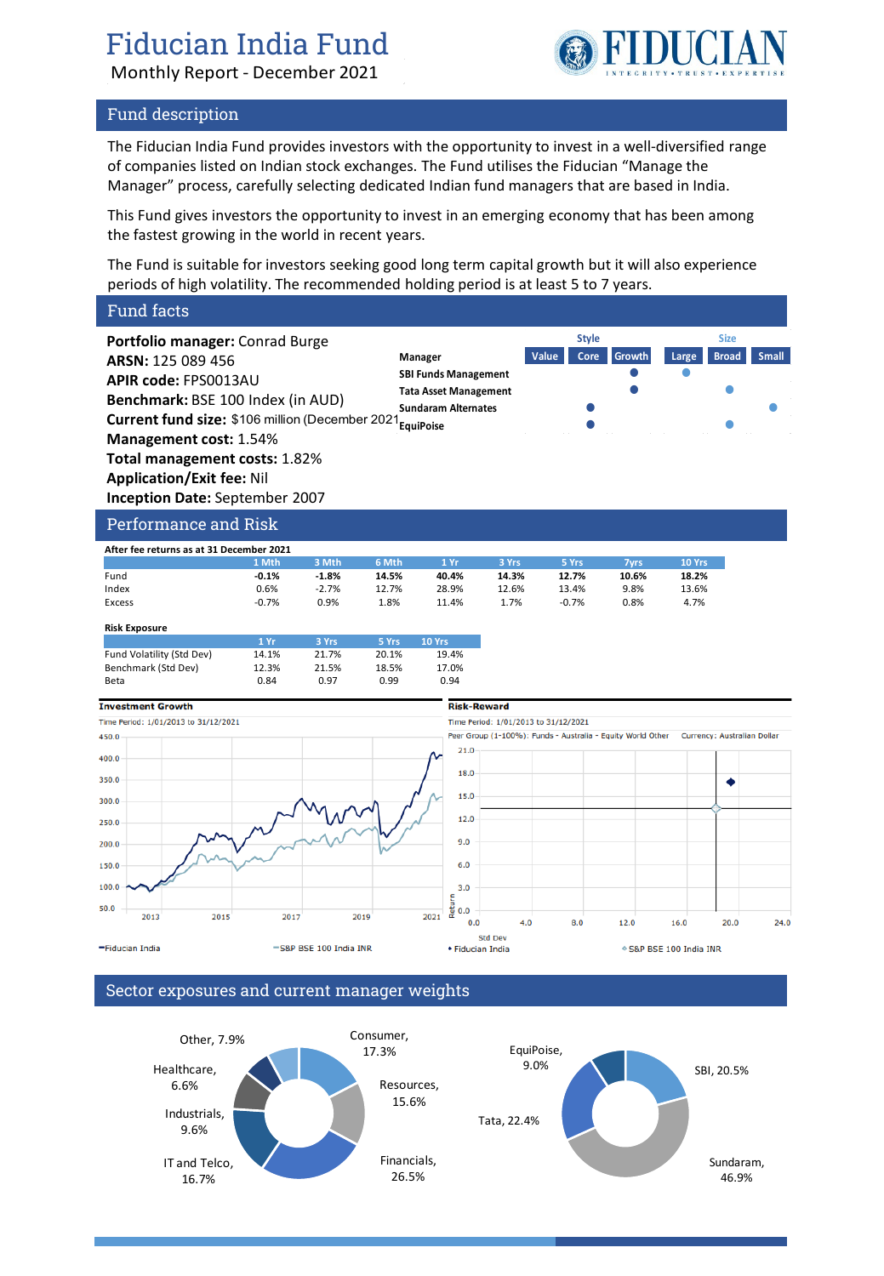# Fiducian India Fund

Monthly Report - December 2021



### Fund description

The Fiducian India Fund provides investors with the opportunity to invest in a well-diversified range of companies listed on Indian stock exchanges. The Fund utilises the Fiducian "Manage the Manager" process, carefully selecting dedicated Indian fund managers that are based in India.

This Fund gives investors the opportunity to invest in an emerging economy that has been among the fastest growing in the world in recent years.

The Fund is suitable for investors seeking good long term capital growth but it will also experience periods of high volatility. The recommended holding period is at least 5 to 7 years.

### Fund facts

**Portfolio manager:** Conrad Burge **ARSN:** 125 089 456 **APIR code:** FPS0013AU **Benchmark:** BSE 100 Index (in AUD) **Current fund size:** \$106 million (December 2021<sub>Equi</sub>poise **Carries and Carries Contained Carries Carries Contained Contained Contained Contained Contained Contained Contained Contained Contained Contained Contained Conta Management cost:** 1.54% **Total management costs:** 1.82% **Application/Exit fee:** Nil **Inception Date:** September 2007 **Manager Value Core Growth Large Broad Small SBI Funds Management Tata Asset Management Sundaram Alternates Style Size**

### Performance and Risk

| After fee returns as at 31 December 2021 |         |         |       |       |       |         |       |        |
|------------------------------------------|---------|---------|-------|-------|-------|---------|-------|--------|
|                                          | 1 Mth   | 3 Mth   | 6 Mth | 1 Yr  | 3 Yrs | 5 Yrs   | 7vrs  | 10 Yrs |
| Fund                                     | $-0.1%$ | $-1.8%$ | 14.5% | 40.4% | 14.3% | 12.7%   | 10.6% | 18.2%  |
| Index                                    | 0.6%    | $-2.7%$ | 12.7% | 28.9% | 12.6% | 13.4%   | 9.8%  | 13.6%  |
| Excess                                   | $-0.7%$ | 0.9%    | 1.8%  | 11.4% | 1.7%  | $-0.7%$ | 0.8%  | 4.7%   |

| <b>Risk Exposure</b>      |             |       |       |               |
|---------------------------|-------------|-------|-------|---------------|
|                           | <b>1 Yr</b> | 3 Yrs | 5 Yrs | <b>10 Yrs</b> |
| Fund Volatility (Std Dev) | 14.1%       | 21.7% | 20.1% | 19.4%         |
| Benchmark (Std Dev)       | 12.3%       | 21.5% | 18.5% | 17.0%         |
| Beta                      | 0.84        | 0.97  | 0.99  | 0.94          |



### Sector exposures and current manager weights